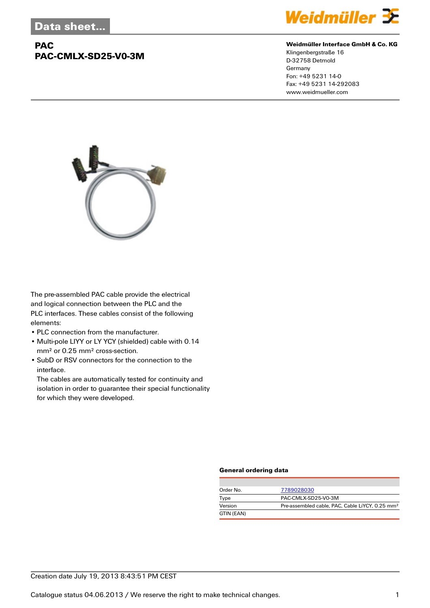# **PAC PAC-CMLX-SD25-V0-3M**



#### **Weidmüller Interface GmbH & Co. KG**

Klingenbergstraße 16 D-32758 Detmold Germany Fon: +49 5231 14-0 Fax: +49 5231 14-292083 www.weidmueller.com



The pre-assembled PAC cable provide the electrical and logical connection between the PLC and the PLC interfaces. These cables consist of the following elements:

- PLC connection from the manufacturer.
- Multi-pole LIYY or LY YCY (shielded) cable with 0.14 mm² or 0.25 mm² cross-section.
- SubD or RSV connectors for the connection to the interface.

The cables are automatically tested for continuity and isolation in order to guarantee their special functionality for which they were developed.

#### **General ordering data**

| Order No.  | 7789028030                                                  |
|------------|-------------------------------------------------------------|
| Type       | PAC-CMLX-SD25-V0-3M                                         |
| Version    | Pre-assembled cable, PAC, Cable LiYCY, 0.25 mm <sup>2</sup> |
| GTIN (EAN) |                                                             |